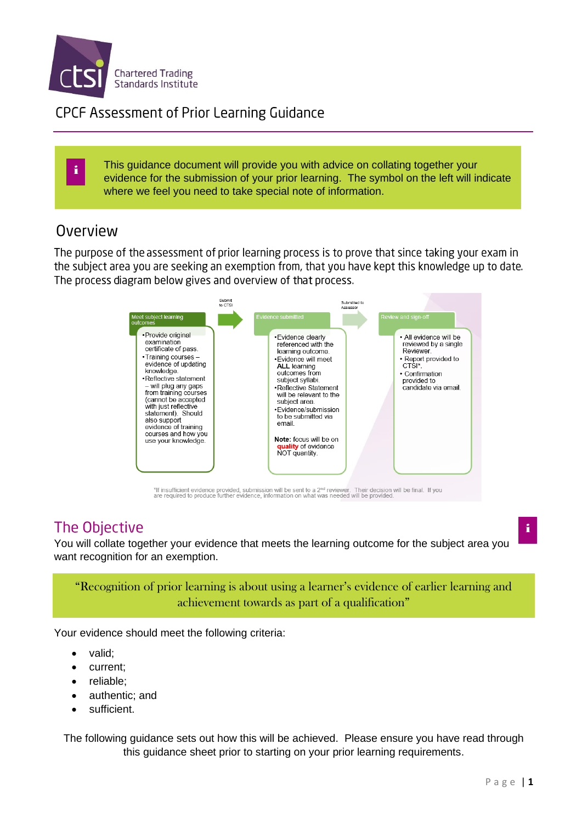

## **CPCF Assessment of Prior Learning Guidance**

This guidance document will provide you with advice on collating together your evidence for the submission of your prior learning. The symbol on the left will indicate where we feel you need to take special note of information.

## Overview

i

The purpose of the assessment of prior learning process is to prove that since taking your exam in the subject area you are seeking an exemption from, that you have kept this knowledge up to date. The process diagram below gives and overview of that process.



\*If insufficient evidence provided, submission will be sent to a 2<sup>nd</sup> reviewer. Their decision will be final. If you<br>are required to produce further evidence, information on what was needed will be provided.

## The Objective

You will collate together your evidence that meets the learning outcome for the subject area you want recognition for an exemption.

#### "Recognition of prior learning is about using a learner's evidence of earlier learning and achievement towards as part of a qualification"

Your evidence should meet the following criteria:

- valid;
- current;
- reliable:
- authentic; and
- sufficient.

The following guidance sets out how this will be achieved. Please ensure you have read through this guidance sheet prior to starting on your prior learning requirements.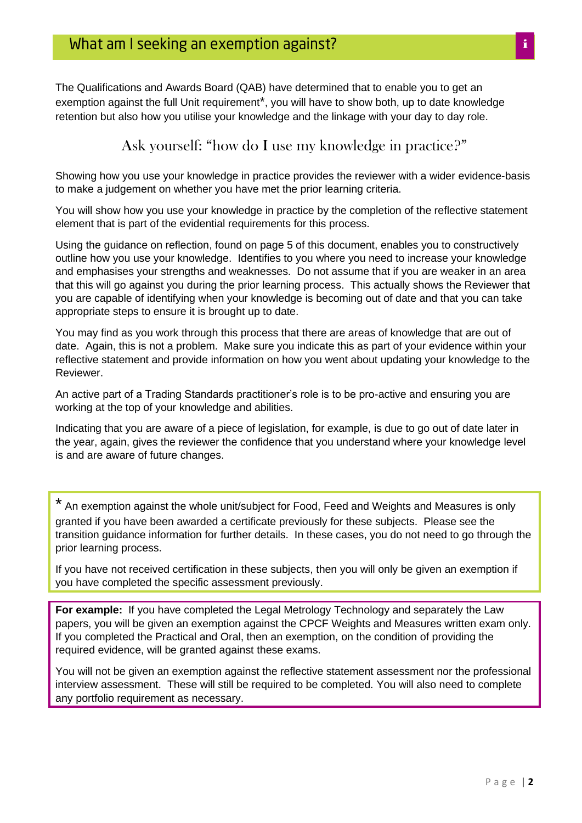The Qualifications and Awards Board (QAB) have determined that to enable you to get an exemption against the full Unit requirement<sup>\*</sup>, you will have to show both, up to date knowledge retention but also how you utilise your knowledge and the linkage with your day to day role.

#### Ask yourself: "how do I use my knowledge in practice?"

Showing how you use your knowledge in practice provides the reviewer with a wider evidence-basis to make a judgement on whether you have met the prior learning criteria.

You will show how you use your knowledge in practice by the completion of the reflective statement element that is part of the evidential requirements for this process.

Using the guidance on reflection, found on page 5 of this document, enables you to constructively outline how you use your knowledge. Identifies to you where you need to increase your knowledge and emphasises your strengths and weaknesses. Do not assume that if you are weaker in an area that this will go against you during the prior learning process. This actually shows the Reviewer that you are capable of identifying when your knowledge is becoming out of date and that you can take appropriate steps to ensure it is brought up to date.

You may find as you work through this process that there are areas of knowledge that are out of date. Again, this is not a problem. Make sure you indicate this as part of your evidence within your reflective statement and provide information on how you went about updating your knowledge to the Reviewer.

An active part of a Trading Standards practitioner's role is to be pro-active and ensuring you are working at the top of your knowledge and abilities.

Indicating that you are aware of a piece of legislation, for example, is due to go out of date later in the year, again, gives the reviewer the confidence that you understand where your knowledge level is and are aware of future changes.

\* An exemption against the whole unit/subject for Food, Feed and Weights and Measures is only granted if you have been awarded a certificate previously for these subjects. Please see the transition guidance information for further details. In these cases, you do not need to go through the prior learning process.

If you have not received certification in these subjects, then you will only be given an exemption if you have completed the specific assessment previously.

**For example:** If you have completed the Legal Metrology Technology and separately the Law papers, you will be given an exemption against the CPCF Weights and Measures written exam only. If you completed the Practical and Oral, then an exemption, on the condition of providing the required evidence, will be granted against these exams.

You will not be given an exemption against the reflective statement assessment nor the professional interview assessment. These will still be required to be completed. You will also need to complete any portfolio requirement as necessary.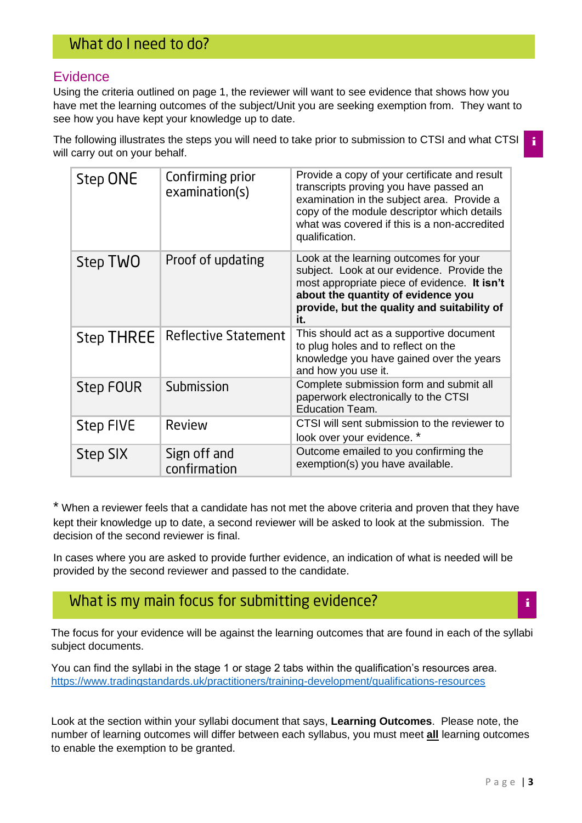#### **Evidence**

Using the criteria outlined on page 1, the reviewer will want to see evidence that shows how you have met the learning outcomes of the subject/Unit you are seeking exemption from. They want to see how you have kept your knowledge up to date.

The following illustrates the steps you will need to take prior to submission to CTSI and what CTSI will carry out on your behalf.

|  | Step ONE          | Confirming prior<br>examination(s) | Provide a copy of your certificate and result<br>transcripts proving you have passed an<br>examination in the subject area. Provide a<br>copy of the module descriptor which details<br>what was covered if this is a non-accredited<br>qualification. |
|--|-------------------|------------------------------------|--------------------------------------------------------------------------------------------------------------------------------------------------------------------------------------------------------------------------------------------------------|
|  | Step TWO          | Proof of updating                  | Look at the learning outcomes for your<br>subject. Look at our evidence. Provide the<br>most appropriate piece of evidence. It isn't<br>about the quantity of evidence you<br>provide, but the quality and suitability of<br>it.                       |
|  | <b>Step THREE</b> | <b>Reflective Statement</b>        | This should act as a supportive document<br>to plug holes and to reflect on the<br>knowledge you have gained over the years<br>and how you use it.                                                                                                     |
|  | Step FOUR         | Submission                         | Complete submission form and submit all<br>paperwork electronically to the CTSI<br><b>Education Team.</b>                                                                                                                                              |
|  | <b>Step FIVE</b>  | Review                             | CTSI will sent submission to the reviewer to<br>look over your evidence. *                                                                                                                                                                             |
|  | Step SIX          | Sign off and<br>confirmation       | Outcome emailed to you confirming the<br>exemption(s) you have available.                                                                                                                                                                              |

\* When a reviewer feels that a candidate has not met the above criteria and proven that they have kept their knowledge up to date, a second reviewer will be asked to look at the submission. The decision of the second reviewer is final.

In cases where you are asked to provide further evidence, an indication of what is needed will be provided by the second reviewer and passed to the candidate.

## What is my main focus for submitting evidence?

The focus for your evidence will be against the learning outcomes that are found in each of the syllabi subject documents.

You can find the syllabi in the stage 1 or stage 2 tabs within the qualification's resources area. <https://www.tradingstandards.uk/practitioners/training-development/qualifications-resources>

Look at the section within your syllabi document that says, **Learning Outcomes**. Please note, the number of learning outcomes will differ between each syllabus, you must meet **all** learning outcomes to enable the exemption to be granted.

i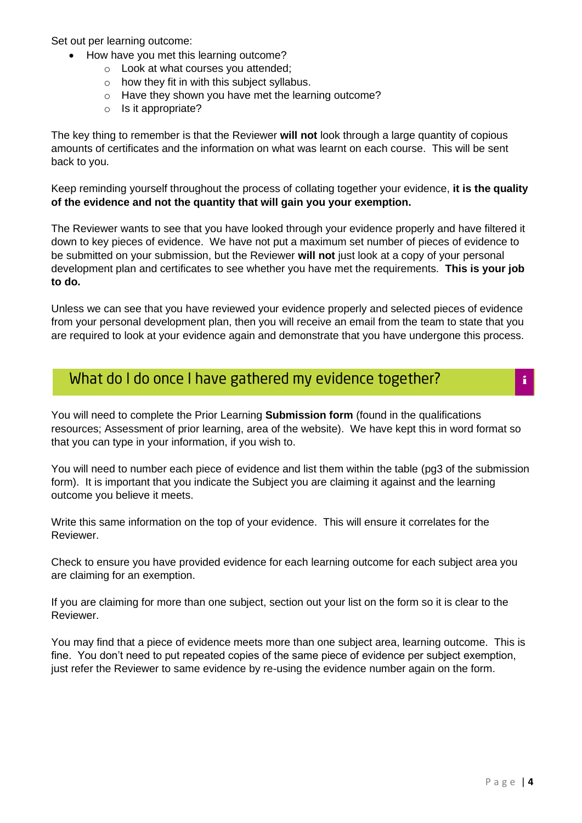Set out per learning outcome:

- How have you met this learning outcome?
	- o Look at what courses you attended;
	- $\circ$  how they fit in with this subject syllabus.
	- o Have they shown you have met the learning outcome?
	- o Is it appropriate?

The key thing to remember is that the Reviewer **will not** look through a large quantity of copious amounts of certificates and the information on what was learnt on each course. This will be sent back to you.

Keep reminding yourself throughout the process of collating together your evidence, **it is the quality of the evidence and not the quantity that will gain you your exemption.**

The Reviewer wants to see that you have looked through your evidence properly and have filtered it down to key pieces of evidence. We have not put a maximum set number of pieces of evidence to be submitted on your submission, but the Reviewer **will not** just look at a copy of your personal development plan and certificates to see whether you have met the requirements. **This is your job to do.**

Unless we can see that you have reviewed your evidence properly and selected pieces of evidence from your personal development plan, then you will receive an email from the team to state that you are required to look at your evidence again and demonstrate that you have undergone this process.

## What do I do once I have gathered my evidence together?

You will need to complete the Prior Learning **Submission form** (found in the qualifications resources; Assessment of prior learning, area of the website). We have kept this in word format so that you can type in your information, if you wish to.

You will need to number each piece of evidence and list them within the table (pg3 of the submission form). It is important that you indicate the Subject you are claiming it against and the learning outcome you believe it meets.

Write this same information on the top of your evidence. This will ensure it correlates for the Reviewer.

Check to ensure you have provided evidence for each learning outcome for each subject area you are claiming for an exemption.

If you are claiming for more than one subject, section out your list on the form so it is clear to the Reviewer.

You may find that a piece of evidence meets more than one subject area, learning outcome. This is fine. You don't need to put repeated copies of the same piece of evidence per subject exemption, just refer the Reviewer to same evidence by re-using the evidence number again on the form.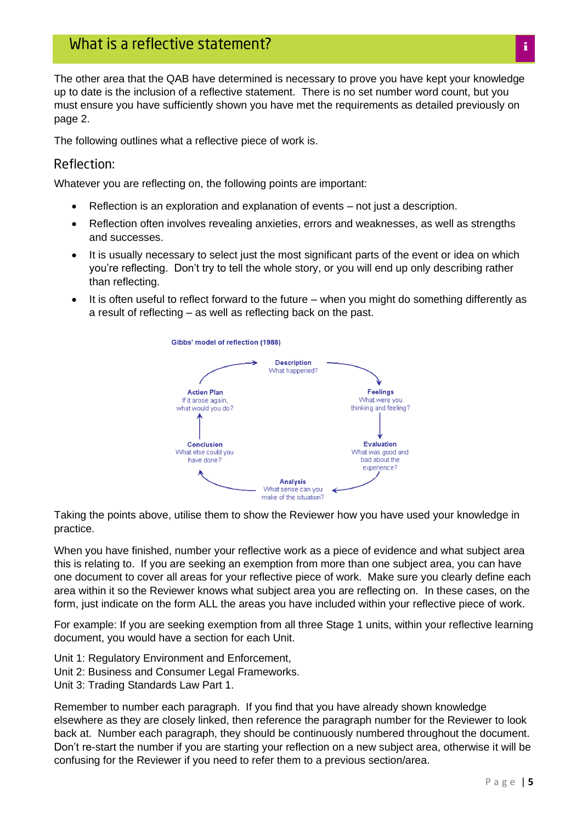The other area that the QAB have determined is necessary to prove you have kept your knowledge up to date is the inclusion of a reflective statement. There is no set number word count, but you must ensure you have sufficiently shown you have met the requirements as detailed previously on page 2.

The following outlines what a reflective piece of work is.

#### Reflection:

Whatever you are reflecting on, the following points are important:

- Reflection is an exploration and explanation of events not just a description.
- Reflection often involves revealing anxieties, errors and weaknesses, as well as strengths and successes.
- It is usually necessary to select just the most significant parts of the event or idea on which you're reflecting. Don't try to tell the whole story, or you will end up only describing rather than reflecting.
- It is often useful to reflect forward to the future when you might do something differently as a result of reflecting – as well as reflecting back on the past.



Taking the points above, utilise them to show the Reviewer how you have used your knowledge in practice.

When you have finished, number your reflective work as a piece of evidence and what subject area this is relating to. If you are seeking an exemption from more than one subject area, you can have one document to cover all areas for your reflective piece of work. Make sure you clearly define each area within it so the Reviewer knows what subject area you are reflecting on. In these cases, on the form, just indicate on the form ALL the areas you have included within your reflective piece of work.

For example: If you are seeking exemption from all three Stage 1 units, within your reflective learning document, you would have a section for each Unit.

- Unit 1: Regulatory Environment and Enforcement,
- Unit 2: Business and Consumer Legal Frameworks.
- Unit 3: Trading Standards Law Part 1.

Remember to number each paragraph. If you find that you have already shown knowledge elsewhere as they are closely linked, then reference the paragraph number for the Reviewer to look back at. Number each paragraph, they should be continuously numbered throughout the document. Don't re-start the number if you are starting your reflection on a new subject area, otherwise it will be confusing for the Reviewer if you need to refer them to a previous section/area.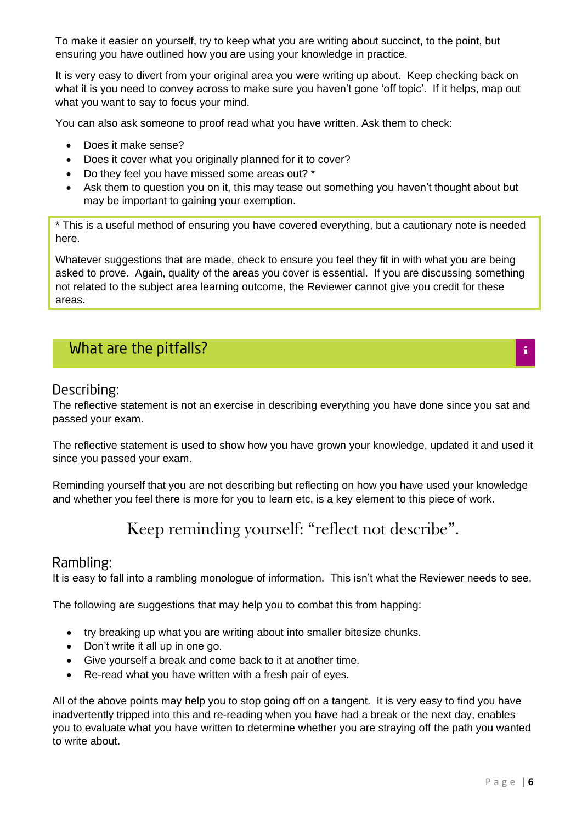To make it easier on yourself, try to keep what you are writing about succinct, to the point, but ensuring you have outlined how you are using your knowledge in practice.

It is very easy to divert from your original area you were writing up about. Keep checking back on what it is you need to convey across to make sure you haven't gone 'off topic'. If it helps, map out what you want to say to focus your mind.

You can also ask someone to proof read what you have written. Ask them to check:

- Does it make sense?
- Does it cover what you originally planned for it to cover?
- Do they feel you have missed some areas out? \*
- Ask them to question you on it, this may tease out something you haven't thought about but may be important to gaining your exemption.

\* This is a useful method of ensuring you have covered everything, but a cautionary note is needed here.

Whatever suggestions that are made, check to ensure you feel they fit in with what you are being asked to prove. Again, quality of the areas you cover is essential. If you are discussing something not related to the subject area learning outcome, the Reviewer cannot give you credit for these areas.

## What are the pitfalls?

#### Describing:

The reflective statement is not an exercise in describing everything you have done since you sat and passed your exam.

The reflective statement is used to show how you have grown your knowledge, updated it and used it since you passed your exam.

Reminding yourself that you are not describing but reflecting on how you have used your knowledge and whether you feel there is more for you to learn etc, is a key element to this piece of work.

# Keep reminding yourself: "reflect not describe".

#### Rambling:

It is easy to fall into a rambling monologue of information. This isn't what the Reviewer needs to see.

The following are suggestions that may help you to combat this from happing:

- try breaking up what you are writing about into smaller bitesize chunks.
- Don't write it all up in one go.
- Give yourself a break and come back to it at another time.
- Re-read what you have written with a fresh pair of eyes.

All of the above points may help you to stop going off on a tangent. It is very easy to find you have inadvertently tripped into this and re-reading when you have had a break or the next day, enables you to evaluate what you have written to determine whether you are straying off the path you wanted to write about.